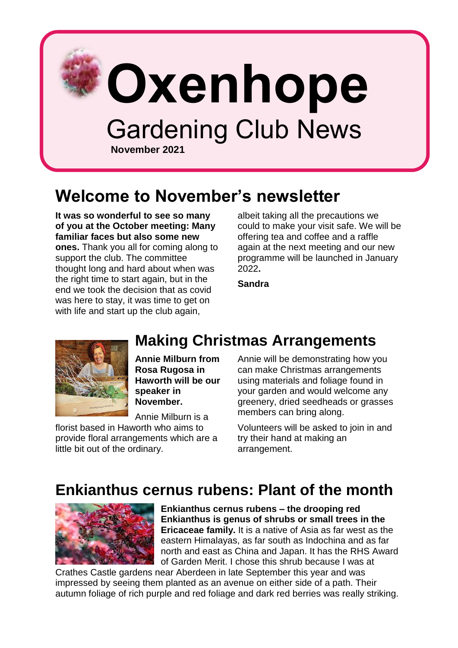

## **Welcome to November's newsletter**

**It was so wonderful to see so many of you at the October meeting: Many familiar faces but also some new ones.** Thank you all for coming along to support the club. The committee thought long and hard about when was the right time to start again, but in the end we took the decision that as covid was here to stay, it was time to get on with life and start up the club again,

albeit taking all the precautions we could to make your visit safe. We will be offering tea and coffee and a raffle again at the next meeting and our new programme will be launched in January 2022**.** 

**Sandra**

**Making Christmas Arrangements**



**Annie Milburn from Rosa Rugosa in Haworth will be our speaker in November.**

Annie Milburn is a

florist based in Haworth who aims to provide floral arrangements which are a little bit out of the ordinary.

Annie will be demonstrating how you can make Christmas arrangements using materials and foliage found in your garden and would welcome any greenery, dried seedheads or grasses members can bring along.

Volunteers will be asked to join in and try their hand at making an arrangement.

## **Enkianthus cernus rubens: Plant of the month**



**Enkianthus cernus rubens – the drooping red Enkianthus is genus of shrubs or small trees in the Ericaceae family.** It is a native of Asia as far west as the eastern Himalayas, as far south as Indochina and as far north and east as China and Japan. It has the RHS Award of Garden Merit. I chose this shrub because I was at

Crathes Castle gardens near Aberdeen in late September this year and was impressed by seeing them planted as an avenue on either side of a path. Their autumn foliage of rich purple and red foliage and dark red berries was really striking.